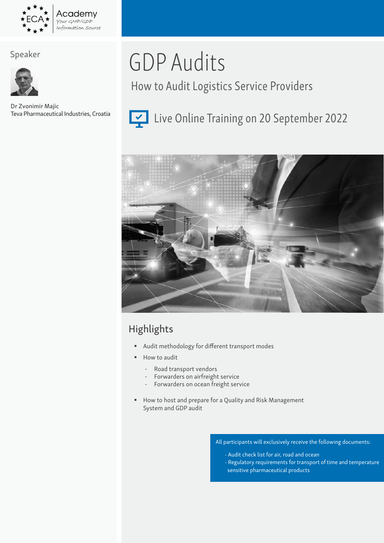

## Speaker



Dr Zvonimir Majic Teva Pharmaceutical Industries, Croatia

# GDP Audits

How to Audit Logistics Service Providers



# Live Online Training on 20 September 2022



# Highlights

- Audit methodology for different transport modes
- How to audit
	- Road transport vendors
	- Forwarders on airfreight service
	- Forwarders on ocean freight service
- How to host and prepare for a Quality and Risk Management System and GDP audit

All participants will exclusively receive the following documents:

- Audit check list for air, road and ocean
- Regulatory requirements for transport of time and temperature sensitive pharmaceutical products